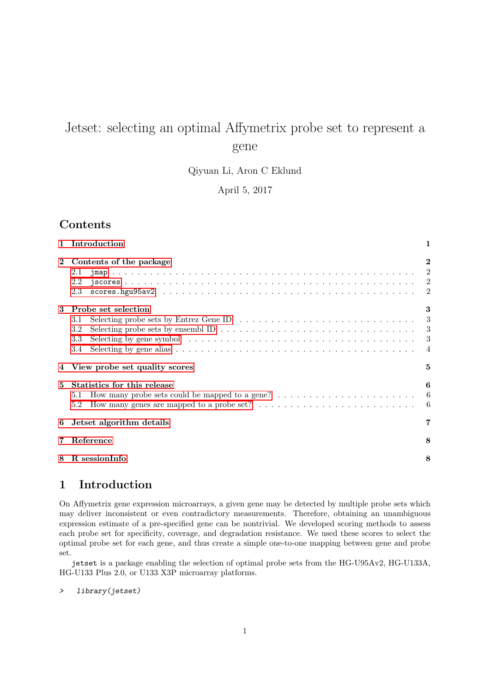# Jetset: selecting an optimal Affymetrix probe set to represent a gene

Qiyuan Li, Aron C Eklund

April 5, 2017

# Contents

|              | 1 Introduction                                                                                                                                                                                                                                                                                                                                                                                                  | 1                                                       |
|--------------|-----------------------------------------------------------------------------------------------------------------------------------------------------------------------------------------------------------------------------------------------------------------------------------------------------------------------------------------------------------------------------------------------------------------|---------------------------------------------------------|
| $\mathbf{2}$ | Contents of the package<br>2.1<br>2.2<br>2.3                                                                                                                                                                                                                                                                                                                                                                    | $\bf{2}$<br>$\overline{\phantom{a}2}$<br>$\overline{2}$ |
| 3            | Probe set selection<br>Selecting probe sets by Entrez Gene ID $\ldots \ldots \ldots \ldots \ldots \ldots \ldots \ldots \ldots \ldots$<br>3.1<br>Selecting probe sets by ensembl ID $\ldots \ldots \ldots \ldots \ldots \ldots \ldots \ldots \ldots \ldots \ldots \ldots$<br>3.2<br>Selecting by gene symbol $\ldots \ldots \ldots \ldots \ldots \ldots \ldots \ldots \ldots \ldots \ldots \ldots$<br>3.3<br>3.4 | 3<br>3<br>3<br>$\overline{4}$                           |
|              | 4 View probe set quality scores                                                                                                                                                                                                                                                                                                                                                                                 | 5                                                       |
| 5            | Statistics for this release<br>How many probe sets could be mapped to a gene? $\dots \dots \dots \dots \dots \dots \dots \dots$<br>5.1<br>How many genes are mapped to a probe set? $\dots \dots \dots \dots \dots \dots \dots \dots \dots$<br>5.2                                                                                                                                                              | 6<br>$-6$<br>- 6                                        |
| 6            | Jetset algorithm details                                                                                                                                                                                                                                                                                                                                                                                        | 7                                                       |
| 7            | Reference                                                                                                                                                                                                                                                                                                                                                                                                       | 8                                                       |
| 8            | R sessionInfo                                                                                                                                                                                                                                                                                                                                                                                                   | 8                                                       |

# <span id="page-0-0"></span>1 Introduction

On Affymetrix gene expression microarrays, a given gene may be detected by multiple probe sets which may deliver inconsistent or even contradictory measurements. Therefore, obtaining an unambiguous expression estimate of a pre-specified gene can be nontrivial. We developed scoring methods to assess each probe set for specificity, coverage, and degradation resistance. We used these scores to select the optimal probe set for each gene, and thus create a simple one-to-one mapping between gene and probe set.

jetset is a package enabling the selection of optimal probe sets from the HG-U95Av2, HG-U133A, HG-U133 Plus 2.0, or U133 X3P microarray platforms.

> library(jetset)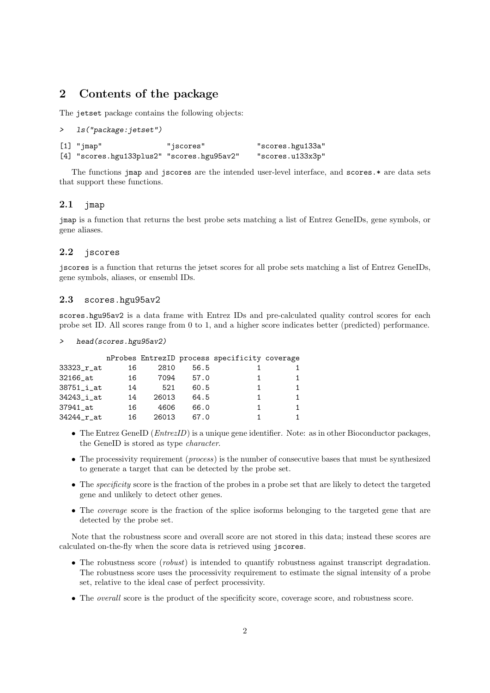### <span id="page-1-0"></span>2 Contents of the package

The jetset package contains the following objects:

```
> ls("package:jetset")
[1] "jmap" "jscores" "scores.hgu133a"
[4] "scores.hgu133plus2" "scores.hgu95av2" "scores.u133x3p"
```
The functions jmap and jscores are the intended user-level interface, and scores.\* are data sets that support these functions.

#### <span id="page-1-1"></span> $2.1$  jmap

jmap is a function that returns the best probe sets matching a list of Entrez GeneIDs, gene symbols, or gene aliases.

#### <span id="page-1-2"></span>2.2 jscores

jscores is a function that returns the jetset scores for all probe sets matching a list of Entrez GeneIDs, gene symbols, aliases, or ensembl IDs.

#### <span id="page-1-3"></span>2.3 scores.hgu95av2

scores.hgu95av2 is a data frame with Entrez IDs and pre-calculated quality control scores for each probe set ID. All scores range from 0 to 1, and a higher score indicates better (predicted) performance.

> head(scores.hgu95av2)

|               |    |       |      | nProbes EntrezID process specificity coverage |    |
|---------------|----|-------|------|-----------------------------------------------|----|
| 33323_r_at    | 16 | 2810  | 56.5 |                                               |    |
| 32166_at      | 16 | 7094  | 57.0 |                                               | 1. |
| $38751$ _i_at | 14 | 521   | 60.5 | 1                                             | 1. |
| 34243_i_at    | 14 | 26013 | 64.5 | 1.                                            | 1. |
| 37941 at      | 16 | 4606  | 66.0 | 1                                             | 1  |
| 34244_r_at    | 16 | 26013 | 67.0 |                                               | 1. |

- The Entrez GeneID ( $Entropy$ ) is a unique gene identifier. Note: as in other Bioconductor packages, the GeneID is stored as type character.
- The processivity requirement (*process*) is the number of consecutive bases that must be synthesized to generate a target that can be detected by the probe set.
- The specificity score is the fraction of the probes in a probe set that are likely to detect the targeted gene and unlikely to detect other genes.
- The *coverage* score is the fraction of the splice isoforms belonging to the targeted gene that are detected by the probe set.

Note that the robustness score and overall score are not stored in this data; instead these scores are calculated on-the-fly when the score data is retrieved using jscores.

- The robustness score (*robust*) is intended to quantify robustness against transcript degradation. The robustness score uses the processivity requirement to estimate the signal intensity of a probe set, relative to the ideal case of perfect processivity.
- The overall score is the product of the specificity score, coverage score, and robustness score.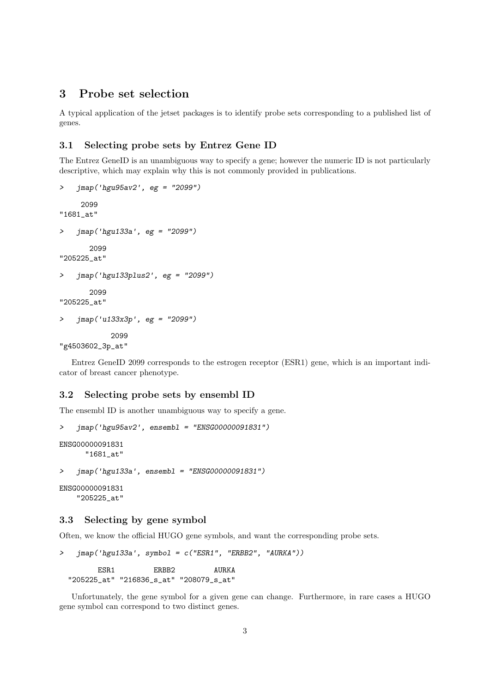### <span id="page-2-0"></span>3 Probe set selection

A typical application of the jetset packages is to identify probe sets corresponding to a published list of genes.

#### <span id="page-2-1"></span>3.1 Selecting probe sets by Entrez Gene ID

The Entrez GeneID is an unambiguous way to specify a gene; however the numeric ID is not particularly descriptive, which may explain why this is not commonly provided in publications.

```
> jmap('hgu95av2', eg = "2099")
     2099
"1681_at"
> jmap('hgu133a', eg = "2099")
      2099
"205225_at"
> jmap('hgu133plus2', eg = "2099")
       2099
"205225_at"
> jmap('u133x3p', eg = "2099")
            2099
"g4503602_3p_at"
```
Entrez GeneID 2099 corresponds to the estrogen receptor (ESR1) gene, which is an important indicator of breast cancer phenotype.

#### <span id="page-2-2"></span>3.2 Selecting probe sets by ensembl ID

The ensembl ID is another unambiguous way to specify a gene.

```
> jmap('hgu95av2', ensembl = "ENSG00000091831")
ENSG00000091831
     "1681_at"
> jmap('hgu133a', ensembl = "ENSG00000091831")
```
ENSG00000091831 "205225\_at"

#### <span id="page-2-3"></span>3.3 Selecting by gene symbol

Often, we know the official HUGO gene symbols, and want the corresponding probe sets.

```
> jmap('hgu133a', symbol = c("ESR1", "ERBB2", "AURKA"))
       ESR1 ERBB2 AURKA
```
"205225\_at" "216836\_s\_at" "208079\_s\_at"

Unfortunately, the gene symbol for a given gene can change. Furthermore, in rare cases a HUGO gene symbol can correspond to two distinct genes.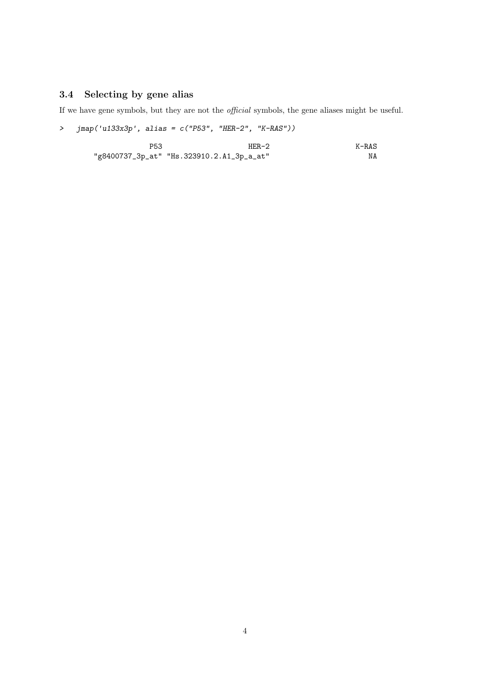# <span id="page-3-0"></span>3.4 Selecting by gene alias

If we have gene symbols, but they are not the official symbols, the gene aliases might be useful.

> jmap('u133x3p', alias = c("P53", "HER-2", "K-RAS"))

| P53 | $HER-2$                                   | $K-RAS$ |
|-----|-------------------------------------------|---------|
|     | "g8400737_3p_at" "Hs.323910.2.A1_3p_a_at" | ΝA      |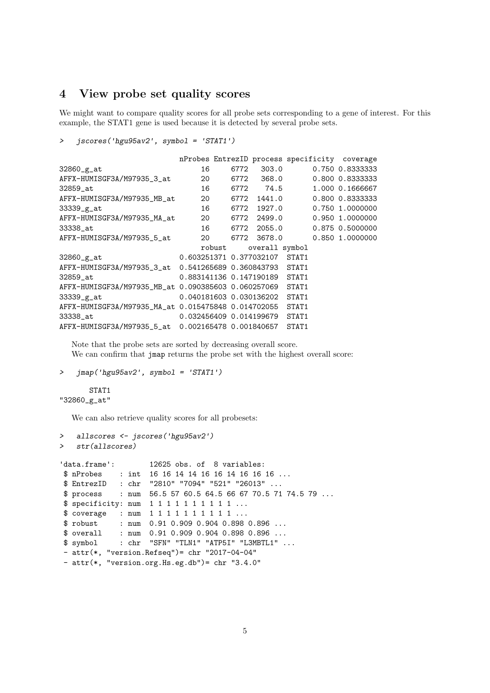### <span id="page-4-0"></span>4 View probe set quality scores

We might want to compare quality scores for all probe sets corresponding to a gene of interest. For this example, the STAT1 gene is used because it is detected by several probe sets.

```
> jscores('hgu95av2', symbol = 'STAT1')
```

|                                                          |                                 |                       | nProbes EntrezID process specificity coverage |                 |
|----------------------------------------------------------|---------------------------------|-----------------------|-----------------------------------------------|-----------------|
| 32860_g_at                                               | 16                              | 6772 303.0            |                                               | 0.750 0.8333333 |
| AFFX-HUMISGF3A/M97935_3_at                               | 20                              | 6772 368.0            |                                               | 0.800 0.8333333 |
| 32859_at                                                 | 16                              | 6772 74.5             |                                               | 1.000 0.1666667 |
| AFFX-HUMISGF3A/M97935_MB_at                              | 20                              | 6772 1441.0           |                                               | 0.800 0.8333333 |
| 33339_g_at                                               | 16                              | 6772 1927.0           |                                               | 0.750 1.0000000 |
| AFFX-HUMISGF3A/M97935_MA_at                              | 20   6772  2499.0               |                       |                                               | 0.950 1.0000000 |
| 33338_at                                                 |                                 | 16 6772 2055.0        |                                               | 0.875 0.5000000 |
| AFFX-HUMISGF3A/M97935_5_at                               |                                 | 20   6772  3678.0     |                                               | 0.850 1.0000000 |
|                                                          |                                 | robust overall symbol |                                               |                 |
| 32860_g_at                                               | 0.603251371  0.377032107  STAT1 |                       |                                               |                 |
| AFFX-HUMISGF3A/M97935_3_at 0.541265689 0.360843793 STAT1 |                                 |                       |                                               |                 |
| 32859_at                                                 | 0.883141136  0.147190189        |                       | STAT1                                         |                 |
| AFFX-HUMISGF3A/M97935_MB_at 0.090385603 0.060257069      |                                 |                       | STAT1                                         |                 |
| 33339_g_at                                               | 0.040181603  0.030136202        |                       | STAT1                                         |                 |
| AFFX-HUMISGF3A/M97935_MA_at 0.015475848 0.014702055      |                                 |                       | STAT1                                         |                 |
| 33338_at                                                 |                                 |                       | STAT1                                         |                 |
| AFFX-HUMISGF3A/M97935_5_at  0.002165478  0.001840657     |                                 |                       | STAT1                                         |                 |

Note that the probe sets are sorted by decreasing overall score. We can confirm that jmap returns the probe set with the highest overall score:

```
> jmap('hgu95av2', symbol = 'STAT1')
```

```
STAT1
"32860_g_at"
```
We can also retrieve quality scores for all probesets:

```
> allscores <- jscores('hgu95av2')
> str(allscores)
'data.frame': 12625 obs. of 8 variables:
$ nProbes : int 16 16 14 14 16 16 14 16 16 16 ...
$ EntrezID : chr "2810" "7094" "521" "26013" ...
$ process : num 56.5 57 60.5 64.5 66 67 70.5 71 74.5 79 ...
$ specificity: num 1 1 1 1 1 1 1 1 1 1 ...
$ coverage : num 1 1 1 1 1 1 1 1 1 1 ...
$ robust : num 0.91 0.909 0.904 0.898 0.896 ...
$ overall : num 0.91 0.909 0.904 0.898 0.896 ...
$ symbol : chr "SFN" "TLN1" "ATP5I" "L3MBTL1" ...
- attr(*, "version.Refseq")= chr "2017-04-04"
- attr(*, "version.org.Hs.eg.db")= chr "3.4.0"
```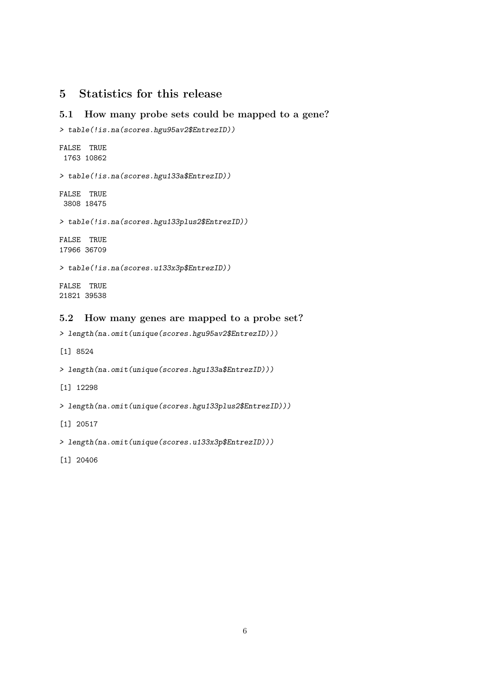# <span id="page-5-0"></span>5 Statistics for this release

### <span id="page-5-1"></span>5.1 How many probe sets could be mapped to a gene?

```
> table(!is.na(scores.hgu95av2$EntrezID))
FALSE TRUE
1763 10862
> table(!is.na(scores.hgu133a$EntrezID))
FALSE TRUE
3808 18475
> table(!is.na(scores.hgu133plus2$EntrezID))
FALSE TRUE
17966 36709
> table(!is.na(scores.u133x3p$EntrezID))
FALSE TRUE
21821 39538
```
### <span id="page-5-2"></span>5.2 How many genes are mapped to a probe set?

```
> length(na.omit(unique(scores.hgu95av2$EntrezID)))
```
[1] 8524

```
> length(na.omit(unique(scores.hgu133a$EntrezID)))
```
[1] 12298

```
> length(na.omit(unique(scores.hgu133plus2$EntrezID)))
```
[1] 20517

```
> length(na.omit(unique(scores.u133x3p$EntrezID)))
```
[1] 20406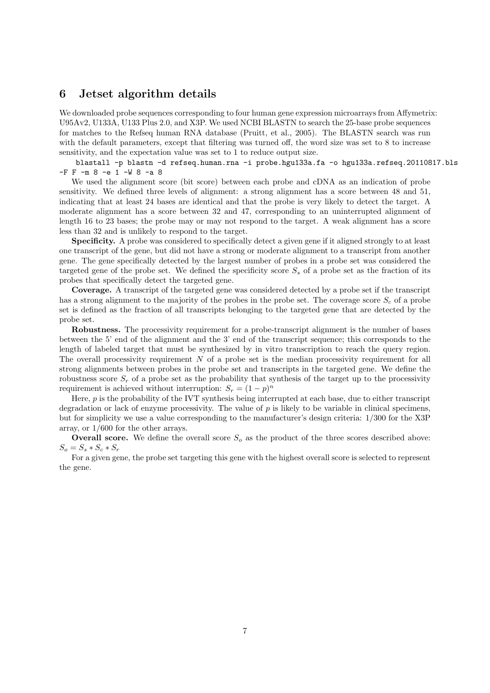### <span id="page-6-0"></span>6 Jetset algorithm details

We downloaded probe sequences corresponding to four human gene expression microarrays from Affymetrix: U95Av2, U133A, U133 Plus 2.0, and X3P. We used NCBI BLASTN to search the 25-base probe sequences for matches to the Refseq human RNA database (Pruitt, et al., 2005). The BLASTN search was run with the default parameters, except that filtering was turned off, the word size was set to 8 to increase sensitivity, and the expectation value was set to 1 to reduce output size.

blastall -p blastn -d refseq.human.rna -i probe.hgu133a.fa -o hgu133a.refseq.20110817.bls -F F -m 8 -e 1 -W 8 -a 8

We used the alignment score (bit score) between each probe and cDNA as an indication of probe sensitivity. We defined three levels of alignment: a strong alignment has a score between 48 and 51, indicating that at least 24 bases are identical and that the probe is very likely to detect the target. A moderate alignment has a score between 32 and 47, corresponding to an uninterrupted alignment of length 16 to 23 bases; the probe may or may not respond to the target. A weak alignment has a score less than 32 and is unlikely to respond to the target.

Specificity. A probe was considered to specifically detect a given gene if it aligned strongly to at least one transcript of the gene, but did not have a strong or moderate alignment to a transcript from another gene. The gene specifically detected by the largest number of probes in a probe set was considered the targeted gene of the probe set. We defined the specificity score  $S<sub>s</sub>$  of a probe set as the fraction of its probes that specifically detect the targeted gene.

Coverage. A transcript of the targeted gene was considered detected by a probe set if the transcript has a strong alignment to the majority of the probes in the probe set. The coverage score  $S_c$  of a probe set is defined as the fraction of all transcripts belonging to the targeted gene that are detected by the probe set.

Robustness. The processivity requirement for a probe-transcript alignment is the number of bases between the 5' end of the alignment and the 3' end of the transcript sequence; this corresponds to the length of labeled target that must be synthesized by in vitro transcription to reach the query region. The overall processivity requirement  $N$  of a probe set is the median processivity requirement for all strong alignments between probes in the probe set and transcripts in the targeted gene. We define the robustness score  $S_r$  of a probe set as the probability that synthesis of the target up to the processivity requirement is achieved without interruption:  $S_r = (1 - p)^n$ 

Here, p is the probability of the IVT synthesis being interrupted at each base, due to either transcript degradation or lack of enzyme processivity. The value of p is likely to be variable in clinical specimens, but for simplicity we use a value corresponding to the manufacturer's design criteria: 1/300 for the X3P array, or 1/600 for the other arrays.

**Overall score.** We define the overall score  $S<sub>o</sub>$  as the product of the three scores described above:  $S_o = S_s * S_c * S_r$ 

For a given gene, the probe set targeting this gene with the highest overall score is selected to represent the gene.